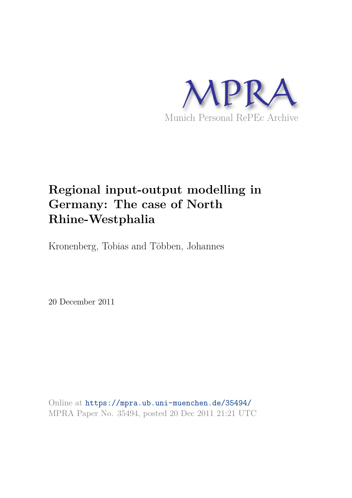

# **Regional input-output modelling in Germany: The case of North Rhine-Westphalia**

Kronenberg, Tobias and Többen, Johannes

20 December 2011

Online at https://mpra.ub.uni-muenchen.de/35494/ MPRA Paper No. 35494, posted 20 Dec 2011 21:21 UTC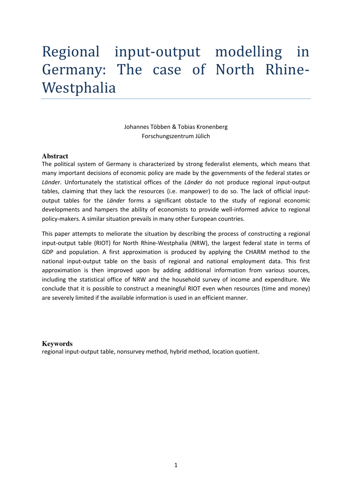# Regional input-output modelling in Germany: The case of North Rhine-Westphalia

## Johannes Többen & Tobias Kronenberg Forschungszentrum Jülich

#### **Abstract**

The political system of Germany is characterized by strong federalist elements, which means that many important decisions of economic policy are made by the governments of the federal states or *Länder*. Unfortunately the statistical offices of the *Länder* do not produce regional input-output tables, claiming that they lack the resources (i.e. manpower) to do so. The lack of official inputoutput tables for the *Länder* forms a significant obstacle to the study of regional economic developments and hampers the ability of economists to provide well-informed advice to regional policy-makers. A similar situation prevails in many other European countries.

This paper attempts to meliorate the situation by describing the process of constructing a regional input-output table (RIOT) for North Rhine-Westphalia (NRW), the largest federal state in terms of GDP and population. A first approximation is produced by applying the CHARM method to the national input-output table on the basis of regional and national employment data. This first approximation is then improved upon by adding additional information from various sources, including the statistical office of NRW and the household survey of income and expenditure. We conclude that it is possible to construct a meaningful RIOT even when resources (time and money) are severely limited if the available information is used in an efficient manner.

#### **Keywords**

regional input-output table, nonsurvey method, hybrid method, location quotient.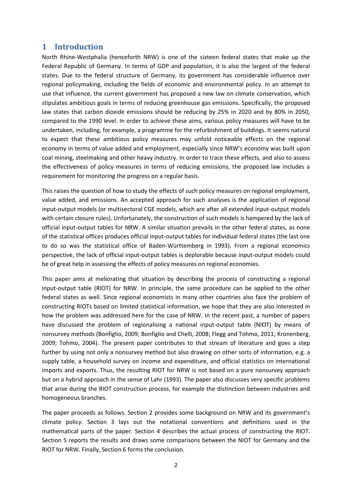## **1 Introduction**

North Rhine-Westphalia (henceforth NRW) is one of the sixteen federal states that make up the Federal Republic of Germany. In terms of GDP and population, it is also the largest of the federal states. Due to the federal structure of Germany, its government has considerable influence over regional policymaking, including the fields of economic and environmental policy. In an attempt to use that influence, the current government has proposed a new law on climate conservation, which stipulates ambitious goals in terms of reducing greenhouse gas emissions. Specifically, the proposed law states that carbon dioxide emissions should be reducing by 25% in 2020 and by 80% in 2050, compared to the 1990 level. In order to achieve these aims, various policy measures will have to be undertaken, including, for example, a programme for the refurbishment of buildings. It seems natural to expect that these ambitious policy measures may unfold noticeable effects on the regional economy in terms of value added and employment, especially since NRW's economy was built upon coal mining, steelmaking and other heavy industry. In order to trace these effects, and also to assess the effectiveness of policy measures in terms of reducing emissions, the proposed law includes a requirement for monitoring the progress on a regular basis.

This raises the question of how to study the effects of such policy measures on regional employment, value added, and emissions. An accepted approach for such analyses is the application of regional input-output models (or multisectoral CGE models, which are after all extended input-output models with certain closure rules). Unfortunately, the construction of such models is hampered by the lack of official input-output tables for NRW. A similar situation prevails in the other federal states, as none of the statistical offices produces official input-output tables for individual federal states (the last one to do so was the statistical office of Baden-Württemberg in 1993). From a regional economics perspective, the lack of official input-output tables is deplorable because input-output models could be of great help in assessing the effects of policy measures on regional economies.

This paper aims at meliorating that situation by describing the process of constructing a regional input-output table (RIOT) for NRW. In principle, the same procedure can be applied to the other federal states as well. Since regional economists in many other countries also face the problem of constructing RIOTs based on limited statistical information, we hope that they are also interested in how the problem was addressed here for the case of NRW. In the recent past, a number of papers have discussed the problem of regionalising a national input-output table (NIOT) by means of nonsurvey methods [\(Bonfiglio, 2009;](#page-22-0) [Bonfiglio and Chelli, 2008;](#page-22-1) [Flegg and Tohmo, 2011;](#page-22-2) [Kronenberg,](#page-22-3)  [2009;](#page-22-3) [Tohmo, 2004\)](#page-23-0). The present paper contributes to that stream of literature and goes a step further by using not only a nonsurvey method but also drawing on other sorts of information, e.g. a supply table, a household survey on income and expenditure, and official statistics on international imports and exports. Thus, the resulting RIOT for NRW is not based on a pure nonsurvey approach but on a hybrid approach in the sense of Lahr [\(1993\)](#page-23-1). The paper also discusses very specific problems that arise during the RIOT construction process, for example the distinction between industries and homogeneous branches.

The paper proceeds as follows. Section 2 provides some background on NRW and its government's climate policy. Section 3 lays out the notational conventions and definitions used in the mathematical parts of the paper. Section 4 describes the actual process of constructing the RIOT. Section 5 reports the results and draws some comparisons between the NIOT for Germany and the RIOT for NRW. Finally, Section 6 forms the conclusion.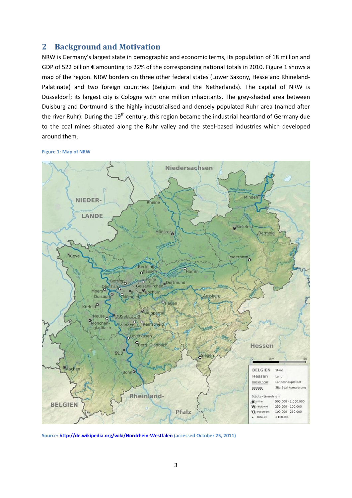## **2 Background and Motivation**

NRW is Germany's largest state in demographic and economic terms, its population of 18 million and GDP of 522 billion € amounting to 22% of the corresponding national totals in 2010. [Figure 1](#page-3-0) shows a map of the region. NRW borders on three other federal states (Lower Saxony, Hesse and Rhineland-Palatinate) and two foreign countries (Belgium and the Netherlands). The capital of NRW is Düsseldorf; its largest city is Cologne with one million inhabitants. The grey-shaded area between Duisburg and Dortmund is the highly industrialised and densely populated Ruhr area (named after the river Ruhr). During the  $19<sup>th</sup>$  century, this region became the industrial heartland of Germany due to the coal mines situated along the Ruhr valley and the steel-based industries which developed around them.

<span id="page-3-0"></span>**Figure 1: Map of NRW** 



**Source: [http://de.wikipedia.org/wiki/Nordrhein-Westfalen \(](http://de.wikipedia.org/wiki/Nordrhein-Westfalen)accessed October 25, 2011)**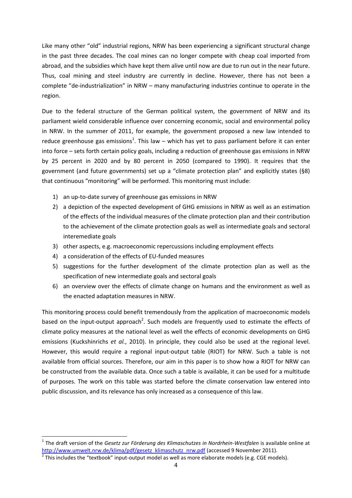Like many other "old" industrial regions, NRW has been experiencing a significant structural change in the past three decades. The coal mines can no longer compete with cheap coal imported from abroad, and the subsidies which have kept them alive until now are due to run out in the near future. Thus, coal mining and steel industry are currently in decline. However, there has not been a complete "de-industrialization" in NRW – many manufacturing industries continue to operate in the region.

Due to the federal structure of the German political system, the government of NRW and its parliament wield considerable influence over concerning economic, social and environmental policy in NRW. In the summer of 2011, for example, the government proposed a new law intended to reduce greenhouse gas emissions<sup>1</sup>. This law – which has yet to pass parliament before it can enter into force – sets forth certain policy goals, including a reduction of greenhouse gas emissions in NRW by 25 percent in 2020 and by 80 percent in 2050 (compared to 1990). It requires that the government (and future governments) set up a "climate protection plan" and explicitly states (§8) that continuous "monitoring" will be performed. This monitoring must include:

- 1) an up-to-date survey of greenhouse gas emissions in NRW
- 2) a depiction of the expected development of GHG emissions in NRW as well as an estimation of the effects of the individual measures of the climate protection plan and their contribution to the achievement of the climate protection goals as well as intermediate goals and sectoral interemediate goals
- 3) other aspects, e.g. macroeconomic repercussions including employment effects
- 4) a consideration of the effects of EU-funded measures

l

- 5) suggestions for the further development of the climate protection plan as well as the specification of new intermediate goals and sectoral goals
- 6) an overview over the effects of climate change on humans and the environment as well as the enacted adaptation measures in NRW.

This monitoring process could benefit tremendously from the application of macroeconomic models based on the input-output approach<sup>2</sup>. Such models are frequently used to estimate the effects of climate policy measures at the national level as well the effects of economic developments on GHG emissions [\(Kuckshinrichs](#page-23-2) *et al.*, 2010). In principle, they could also be used at the regional level. However, this would require a regional input-output table (RIOT) for NRW. Such a table is not available from official sources. Therefore, our aim in this paper is to show how a RIOT for NRW can be constructed from the available data. Once such a table is available, it can be used for a multitude of purposes. The work on this table was started before the climate conservation law entered into public discussion, and its relevance has only increased as a consequence of this law.

<sup>&</sup>lt;sup>1</sup> The draft version of the *Gesetz zur Förderung des Klimaschutzes in Nordrhein-Westfalen* is available online at [http://www.umwelt.nrw.de/klima/pdf/gesetz\\_klimaschutz\\_nrw.pdf \(](http://www.umwelt.nrw.de/klima/pdf/gesetz_klimaschutz_nrw.pdf)accessed 9 November 2011).

 $^2$  This includes the "textbook" input-output model as well as more elaborate models (e.g. CGE models).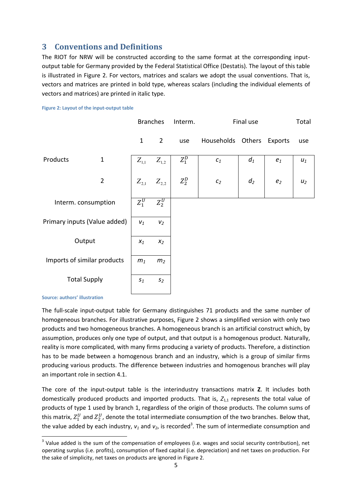## **3 Conventions and Definitions**

The RIOT for NRW will be constructed according to the same format at the corresponding inputoutput table for Germany provided by the Federal Statistical Office (Destatis). The layout of this table is illustrated in [Figure 2.](#page-5-0) For vectors, matrices and scalars we adopt the usual conventions. That is, vectors and matrices are printed in bold type, whereas scalars (including the individual elements of vectors and matrices) are printed in italic type.

<span id="page-5-0"></span>

|                             |                              | <b>Branches</b>                 |                                 | Interm. |                   | Final use |                | Total |
|-----------------------------|------------------------------|---------------------------------|---------------------------------|---------|-------------------|-----------|----------------|-------|
|                             |                              | $\mathbf{1}$                    | $\overline{2}$                  | use     | Households Others |           | Exports        | use   |
| Products                    | $\mathbf 1$                  | $Z_{\scriptscriptstyle 1,1}^{}$ | $Z_{\scriptscriptstyle 1,2}^{}$ | $Z_1^D$ | $c_1$             | $d_1$     | $e_1$          | $u_1$ |
|                             | $\mathbf 2$                  | $Z_{2,1}$                       | $Z_{2,2}$                       | $Z_2^D$ | $\mathcal{C}_2$   | $d_2$     | e <sub>2</sub> | $u_2$ |
| Interm. consumption         |                              | $\overline{Z_1^U}$              | $Z_2^U$                         |         |                   |           |                |       |
|                             | Primary inputs (Value added) | $\boldsymbol{V}_1$              | V <sub>2</sub>                  |         |                   |           |                |       |
|                             | Output                       | $\boldsymbol{x}_1$              | $x_2$                           |         |                   |           |                |       |
| Imports of similar products |                              | $m_1$                           | m <sub>2</sub>                  |         |                   |           |                |       |
|                             | <b>Total Supply</b>          | $S_1$                           | $S_2$                           |         |                   |           |                |       |
|                             |                              |                                 |                                 |         |                   |           |                |       |

#### **Source: authors' illustration**

l

The full-scale input-output table for Germany distinguishes 71 products and the same number of homogeneous branches. For illustrative purposes, [Figure 2](#page-5-0) shows a simplified version with only two products and two homogeneous branches. A homogeneous branch is an artificial construct which, by assumption, produces only one type of output, and that output is a homogenous product. Naturally, reality is more complicated, with many firms producing a variety of products. Therefore, a distinction has to be made between a homogenous branch and an industry, which is a group of similar firms producing various products. The difference between industries and homogenous branches will play an important role in sectio[n 4.1.](#page-6-0)

The core of the input-output table is the interindustry transactions matrix **Z**. It includes both domestically produced products and imported products. That is,  $Z_{1,1}$  represents the total value of products of type 1 used by branch 1, regardless of the origin of those products. The column sums of this matrix,  $Z_1^U$  and  $Z_2^U$ , denote the total intermediate consumption of the two branches. Below that, the value added by each industry,  $v_1$  and  $v_2$ , is recorded<sup>3</sup>. The sum of intermediate consumption and

 $3$  Value added is the sum of the compensation of employees (i.e. wages and social security contribution), net operating surplus (i.e. profits), consumption of fixed capital (i.e. depreciation) and net taxes on production. For the sake of simplicity, net taxes on products are ignored in [Figure 2.](#page-5-0)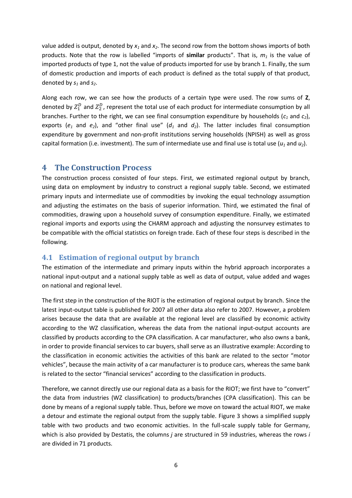value added is output, denoted by *x1* and *x2*. The second row from the bottom shows imports of both products. Note that the row is labelled "imports of **similar** products". That is, *m1* is the value of imported products of type 1, not the value of products imported for use by branch 1. Finally, the sum of domestic production and imports of each product is defined as the total supply of that product, denoted by *s1* and *s2*.

Along each row, we can see how the products of a certain type were used. The row sums of **Z**, denoted by  $Z_1^D$  and  $Z_2^D$ , represent the total use of each product for intermediate consumption by all branches. Further to the right, we can see final consumption expenditure by households (*c1* and *c2*), exports ( $e_1$  and  $e_2$ ), and "other final use" ( $d_1$  and  $d_2$ ). The latter includes final consumption expenditure by government and non-profit institutions serving households (NPISH) as well as gross capital formation (i.e. investment). The sum of intermediate use and final use is total use  $(u_1 \text{ and } u_2)$ .

## **4 The Construction Process**

The construction process consisted of four steps. First, we estimated regional output by branch, using data on employment by industry to construct a regional supply table. Second, we estimated primary inputs and intermediate use of commodities by invoking the equal technology assumption and adjusting the estimates on the basis of superior information. Third, we estimated the final of commodities, drawing upon a household survey of consumption expenditure. Finally, we estimated regional imports and exports using the CHARM approach and adjusting the nonsurvey estimates to be compatible with the official statistics on foreign trade. Each of these four steps is described in the following.

## <span id="page-6-0"></span>**4.1 Estimation of regional output by branch**

The estimation of the intermediate and primary inputs within the hybrid approach incorporates a national input-output and a national supply table as well as data of output, value added and wages on national and regional level.

The first step in the construction of the RIOT is the estimation of regional output by branch. Since the latest input-output table is published for 2007 all other data also refer to 2007. However, a problem arises because the data that are available at the regional level are classified by economic activity according to the WZ classification, whereas the data from the national input-output accounts are classified by products according to the CPA classification. A car manufacturer, who also owns a bank, in order to provide financial services to car buyers, shall serve as an illustrative example: According to the classification in economic activities the activities of this bank are related to the sector "motor vehicles", because the main activity of a car manufacturer is to produce cars, whereas the same bank is related to the sector "financial services" according to the classification in products.

Therefore, we cannot directly use our regional data as a basis for the RIOT; we first have to "convert" the data from industries (WZ classification) to products/branches (CPA classification). This can be done by means of a regional supply table. Thus, before we move on toward the actual RIOT, we make a detour and estimate the regional output from the supply table. [Figure 3](#page-7-0) shows a simplified supply table with two products and two economic activities. In the full-scale supply table for Germany, which is also provided by Destatis, the columns *j* are structured in 59 industries, whereas the rows *i* are divided in 71 products.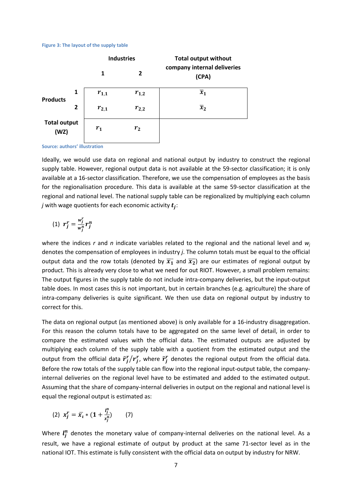#### <span id="page-7-0"></span>**Figure 3: The layout of the supply table**



**Source: authors' illustration**

Ideally, we would use data on regional and national output by industry to construct the regional supply table. However, regional output data is not available at the 59-sector classification; it is only available at a 16-sector classification. Therefore, we use the compensation of employees as the basis for the regionalisation procedure. This data is available at the same 59-sector classification at the regional and national level. The national supply table can be regionalized by multiplying each column *j* with wage quotients for each economic activity  $t_i$ :

$$
(1) \ \ r_j^r = \frac{w_j^r}{w_j^n} r_j^n
$$

where the indices *r* and *n* indicate variables related to the regional and the national level and *w<sup>j</sup>* denotes the compensation of employees in industry *j*. The column totals must be equal to the official output data and the row totals (denoted by  $\overline{x_1}$  and  $\overline{x_2}$ ) are our estimates of regional output by product. This is already very close to what we need for out RIOT. However, a small problem remains: The output figures in the supply table do not include intra-company deliveries, but the input-output table does. In most cases this is not important, but in certain branches (e.g. agriculture) the share of intra-company deliveries is quite significant. We then use data on regional output by industry to correct for this.

The data on regional output (as mentioned above) is only available for a 16-industry disaggregation. For this reason the column totals have to be aggregated on the same level of detail, in order to compare the estimated values with the official data. The estimated outputs are adjusted by multiplying each column of the supply table with a quotient from the estimated output and the output from the official data  $\widetilde{r}_j^r/r_j^r$ , where  $\widetilde{r}_j^r$  denotes the regional output from the official data. Before the row totals of the supply table can flow into the regional input-output table, the companyinternal deliveries on the regional level have to be estimated and added to the estimated output. Assuming that the share of company-internal deliveries in output on the regional and national level is equal the regional output is estimated as:

(2) 
$$
x_j^r = \overline{x}_i * (1 + \frac{l_j^n}{x_j^n})
$$
 (7)

Where  $l_i^n$  denotes the monetary value of company-internal deliveries on the national level. As a result, we have a regional estimate of output by product at the same 71-sector level as in the national IOT. This estimate is fully consistent with the official data on output by industry for NRW.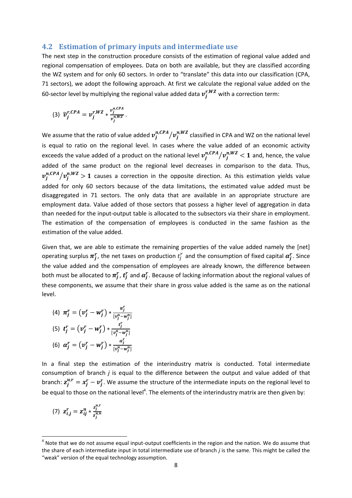### **4.2 Estimation of primary inputs and intermediate use**

The next step in the construction procedure consists of the estimation of regional value added and regional compensation of employees. Data on both are available, but they are classified according the WZ system and for only 60 sectors. In order to "translate" this data into our classification (CPA, 71 sectors), we adopt the following approach. At first we calculate the regional value added on the 60-sector level by multiplying the regional value added data  $v_i^{r,WZ}$  with a correction term:

$$
(3) \ \widetilde{v}_{j}^{r,CPA} = v_{j}^{r,WZ} * \frac{v_{j}^{n,CPA}}{v_{j}^{n,WZ}}.
$$

We assume that the ratio of value added  $v_j^{n,CPA}/v_j^{n, WZ}$  classified in CPA and WZ on the national level is equal to ratio on the regional level. In cases where the value added of an economic activity exceeds the value added of a product on the national level  $v^{n,CPA}_j/v^{n,WZ}_j < 1$  and, hence, the value added of the same product on the regional level decreases in comparison to the data. Thus,  $v^{n,CPA}_j/v^{n,WZ}_j > 1$  causes a correction in the opposite direction. As this estimation yields value added for only 60 sectors because of the data limitations, the estimated value added must be disaggregated in 71 sectors. The only data that are available in an appropriate structure are employment data. Value added of those sectors that possess a higher level of aggregation in data than needed for the input-output table is allocated to the subsectors via their share in employment. The estimation of the compensation of employees is conducted in the same fashion as the estimation of the value added.

Given that, we are able to estimate the remaining properties of the value added namely the [net] operating surplus  $\pi_i^r$ , the net taxes on production  $t_i^r$  and the consumption of fixed capital  $\alpha_i^r$ . Since the value added and the compensation of employees are already known, the difference between both must be allocated to  $\pi_i^r$ ,  $t_i^r$  and  $\alpha_i^r$ . Because of lacking information about the regional values of these components, we assume that their share in gross value added is the same as on the national level.

(4) 
$$
\pi_j^r = (v_j^r - w_j^r) * \frac{\pi_j^r}{[v_j^n - w_j^n]}
$$
  
\n(5)  $t_j^r = (v_j^r - w_j^r) * \frac{t_j^r}{[v_j^n - w_j^n]}$   
\n(6)  $\alpha_j^r = (v_j^r - w_j^r) * \frac{\alpha_j^r}{[v_j^n - w_j^n]}$ 

In a final step the estimation of the interindustry matrix is conducted. Total intermediate consumption of branch *j* is equal to the difference between the output and value added of that branch:  $z_i^{u,r} = x_i^r - v_i^r$ . We assume the structure of the intermediate inputs on the regional level to be equal to those on the national level<sup>4</sup>. The elements of the interindustry matrix are then given by:

(7) 
$$
z_{i,j}^r = z_{ij}^n * \frac{z_j^{u,r}}{z_j^{u,n}}
$$

l

 $<sup>4</sup>$  Note that we do not assume equal input-output coefficients in the region and the nation. We do assume that</sup> the share of each intermediate input in total intermediate use of branch *j* is the same. This might be called the "weak" version of the equal technology assumption.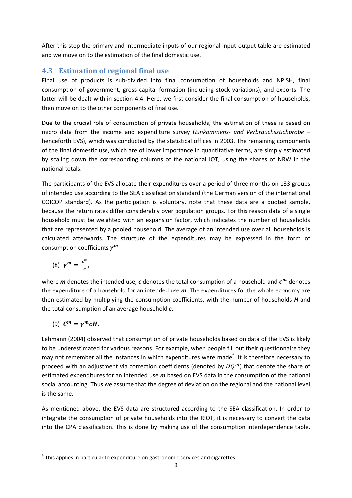After this step the primary and intermediate inputs of our regional input-output table are estimated and we move on to the estimation of the final domestic use.

## <span id="page-9-0"></span>**4.3 Estimation of regional final use**

Final use of products is sub-divided into final consumption of households and NPISH, final consumption of government, gross capital formation (including stock variations), and exports. The latter will be dealt with in section [4.4.](#page-10-0) Here, we first consider the final consumption of households, then move on to the other components of final use.

Due to the crucial role of consumption of private households, the estimation of these is based on micro data from the income and expenditure survey (*Einkommens- und Verbrauchsstichprobe* – henceforth EVS), which was conducted by the statistical offices in 2003. The remaining components of the final domestic use, which are of lower importance in quantitative terms, are simply estimated by scaling down the corresponding columns of the national IOT, using the shares of NRW in the national totals.

The participants of the EVS allocate their expenditures over a period of three months on 133 groups of intended use according to the SEA classification standard (the German version of the international COICOP standard). As the participation is voluntary, note that these data are a quoted sample, because the return rates differ considerably over population groups. For this reason data of a single household must be weighted with an expansion factor, which indicates the number of households that are represented by a pooled household. The average of an intended use over all households is calculated afterwards. The structure of the expenditures may be expressed in the form of consumption coefficients  $\pmb{\gamma^m}$ 

$$
(8) \ \gamma^m = \frac{c^m}{c},
$$

where  $m$  denotes the intended use,  $c$  denotes the total consumption of a household and  $c^m$  denotes the expenditure of a household for an intended use *m*. The expenditures for the whole economy are then estimated by multiplying the consumption coefficients, with the number of households *H* and the total consumption of an average household *c*.

$$
(9) \ \mathbf{C}^m = \gamma^m \mathbf{C} \mathbf{H}.
$$

l

Lehmann [\(2004\)](#page-23-3) observed that consumption of private households based on data of the EVS is likely to be underestimated for various reasons. For example, when people fill out their questionnaire they may not remember all the instances in which expenditures were made<sup>5</sup>. It is therefore necessary to proceed with an adjustment via correction coefficients (denoted by  $DO^{m}$ ) that denote the share of estimated expenditures for an intended use *m* based on EVS data in the consumption of the national social accounting. Thus we assume that the degree of deviation on the regional and the national level is the same.

As mentioned above, the EVS data are structured according to the SEA classification. In order to integrate the consumption of private households into the RIOT, it is necessary to convert the data into the CPA classification. This is done by making use of the consumption interdependence table,

 $<sup>5</sup>$  This applies in particular to expenditure on gastronomic services and cigarettes.</sup>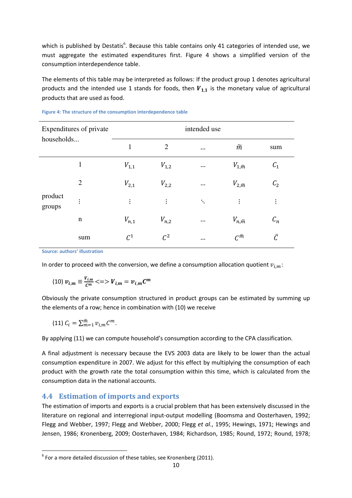which is published by Destatis<sup>6</sup>. Because this table contains only 41 categories of intended use, we must aggregate the estimated expenditures first. [Figure 4](#page-10-1) shows a simplified version of the consumption interdependence table.

The elements of this table may be interpreted as follows: If the product group 1 denotes agricultural products and the intended use 1 stands for foods, then  $V_{1,1}$  is the monetary value of agricultural products that are used as food.

| Expenditures of private<br>households |                | intended use |                 |                      |                       |                 |  |  |  |  |  |  |
|---------------------------------------|----------------|--------------|-----------------|----------------------|-----------------------|-----------------|--|--|--|--|--|--|
|                                       |                | $\mathbf{1}$ | $\overline{2}$  | $\cdots$             | $\widetilde{m}$       | sum             |  |  |  |  |  |  |
|                                       | $\mathbf{1}$   | $V_{1,1}$    | $V_{1,2}$       | $\cdots$             | $V_{1,\widetilde{m}}$ | $C_1$           |  |  |  |  |  |  |
|                                       | $\overline{2}$ | $V_{2,1}$    | $V_{2,2}$       | $\cdots$             | $V_{2,\widetilde{m}}$ | C <sub>2</sub>  |  |  |  |  |  |  |
| product<br>groups                     | $\vdots$       | $\vdots$     | $\vdots$        | $\ddot{\mathcal{H}}$ | $\vdots$              | $\vdots$        |  |  |  |  |  |  |
|                                       | $\mathbf n$    | $V_{n,1}$    | $V_{n,2}$       | $\cdots$             | $V_{n,\widetilde{m}}$ | $\mathcal{C}_n$ |  |  |  |  |  |  |
|                                       | sum            | $C^1$        | $\mathcal{C}^2$ | $\cdots$             | $C^{\widetilde{m}}$   | Ē               |  |  |  |  |  |  |

#### <span id="page-10-1"></span>**Figure 4: The structure of the consumption interdependence table**

**Source: authors' illustration**

In order to proceed with the conversion, we define a consumption allocation quotient  $v_{i,m}$ :

(10) 
$$
v_{i,m} \equiv \frac{v_{i,m}}{c^m} \ll \implies V_{i,m} = v_{i,m}C^m
$$

Obviously the private consumption structured in product groups can be estimated by summing up the elements of a row; hence in combination with (10) we receive

$$
(11) C_i = \sum_{m=1}^{\tilde{m}} v_{i,m} C^m.
$$

l

By applying (11) we can compute household's consumption according to the CPA classification.

A final adjustment is necessary because the EVS 2003 data are likely to be lower than the actual consumption expenditure in 2007. We adjust for this effect by multiplying the consumption of each product with the growth rate the total consumption within this time, which is calculated from the consumption data in the national accounts.

## <span id="page-10-0"></span>**4.4 Estimation of imports and exports**

The estimation of imports and exports is a crucial problem that has been extensively discussed in the literature on regional and interregional input-output modelling [\(Boomsma and Oosterhaven, 1992;](#page-22-4) [Flegg and Webber, 1997;](#page-22-5) [Flegg and Webber, 2000;](#page-22-6) Flegg *et al.*[, 1995;](#page-22-7) [Hewings, 1971;](#page-22-8) [Hewings and](#page-22-9)  [Jensen, 1986;](#page-22-9) [Kronenberg, 2009;](#page-22-3) [Oosterhaven, 1984;](#page-23-4) [Richardson, 1985;](#page-23-5) [Round, 1972;](#page-23-6) [Round, 1978;](#page-23-7)

 $^6$  For a more detailed discussion of these tables, see Kronenberg [\(2011\)](#page-23-8).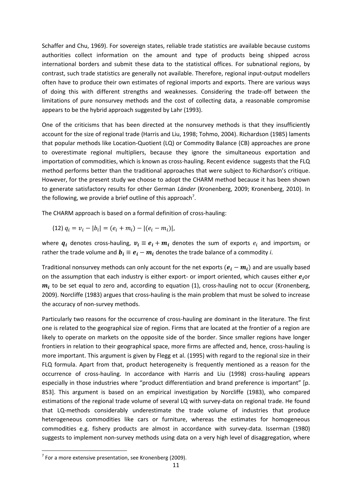[Schaffer and Chu, 1969\)](#page-23-9). For sovereign states, reliable trade statistics are available because customs authorities collect information on the amount and type of products being shipped across international borders and submit these data to the statistical offices. For subnational regions, by contrast, such trade statistics are generally not available. Therefore, regional input-output modellers often have to produce their own estimates of regional imports and exports. There are various ways of doing this with different strengths and weaknesses. Considering the trade-off between the limitations of pure nonsurvey methods and the cost of collecting data, a reasonable compromise appears to be the hybrid approach suggested by Lahr [\(1993\)](#page-23-1).

One of the criticisms that has been directed at the nonsurvey methods is that they insufficiently account for the size of regional trade [\(Harris and Liu, 1998;](#page-22-10) [Tohmo, 2004\)](#page-23-0). Richardson [\(1985\)](#page-23-5) laments that popular methods like Location-Quotient (LQ) or Commodity Balance (CB) approaches are prone to overestimate regional multipliers, because they ignore the simultaneous exportation and importation of commodities, which is known as cross-hauling. Recent evidence suggests that the FLQ method performs better than the traditional approaches that were subject to Richardson's critique. However, for the present study we choose to adopt the CHARM method because it has been shown to generate satisfactory results for other German *Länder* [\(Kronenberg, 2009;](#page-22-3) [Kronenberg, 2010\)](#page-23-10). In the following, we provide a brief outline of this approach<sup>7</sup>.

The CHARM approach is based on a formal definition of cross-hauling:

<span id="page-11-0"></span>(12) 
$$
q_i = v_i - |b_i| = (e_i + m_i) - |(e_i - m_i)|
$$
,

where  $\bm{q}_i$  denotes cross-hauling,  $\bm{v_i} \equiv \bm{e_i} + \bm{m_i}$  denotes the sum of exports  $e_i$  and imports $m_i$  or rather the trade volume and  $b_i \equiv e_i - m_i$  denotes the trade balance of a commodity *i*.

Traditional nonsurvey methods can only account for the net exports  $(e_i - m_i)$  and are usually based on the assumption that each industry is either export- or import oriented, which causes either  $e_i$  or  $\boldsymbol{m}_{\boldsymbol{l}}$  to be set equal to zero and, according to equation (1), cross-hauling not to occur (Kronenberg, [2009\)](#page-22-3). Norcliffe [\(1983\)](#page-23-11) argues that cross-hauling is the main problem that must be solved to increase the accuracy of non-survey methods.

Particularly two reasons for the occurrence of cross-hauling are dominant in the literature. The first one is related to the geographical size of region. Firms that are located at the frontier of a region are likely to operate on markets on the opposite side of the border. Since smaller regions have longer frontiers in relation to their geographical space, more firms are affected and, hence, cross-hauling is more important. This argument is given by Flegg et al. [\(1995\)](#page-22-7) with regard to the regional size in their FLQ formula. Apart from that, product heterogeneity is frequently mentioned as a reason for the occurrence of cross-hauling. In accordance with Harris and Liu [\(1998\)](#page-22-10) cross-hauling appears especially in those industries where "product differentiation and brand preference is important" [p. 853]. This argument is based on an empirical investigation by Norcliffe [\(1983\)](#page-23-11), who compared estimations of the regional trade volume of several LQ with survey-data on regional trade. He found that LQ-methods considerably underestimate the trade volume of industries that produce heterogeneous commodities like cars or furniture, whereas the estimates for homogeneous commodities e.g. fishery products are almost in accordance with survey-data. Isserman [\(1980\)](#page-22-11) suggests to implement non-survey methods using data on a very high level of disaggregation, where

l

 $7$  For a more extensive presentation, see Kronenberg [\(2009\)](#page-22-3).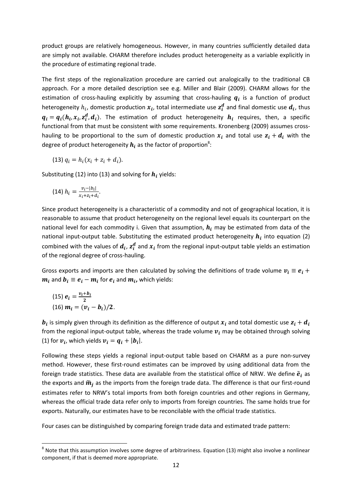product groups are relatively homogeneous. However, in many countries sufficiently detailed data are simply not available. CHARM therefore includes product heterogeneity as a variable explicitly in the procedure of estimating regional trade.

The first steps of the regionalization procedure are carried out analogically to the traditional CB approach. For a more detailed description see e.g. Miller and Blair [\(2009\)](#page-23-12). CHARM allows for the estimation of cross-hauling explicitly by assuming that cross-hauling  $q_i$  is a function of product heterogeneity  $h_i$ , domestic production  $x_i$ , total intermediate use  $z_i^d$  and final domestic use  $d_i$ , thus  $q_i = q_i(h_i, x_i, z_i^d, d_i)$ . The estimation of product heterogeneity  $h_i$  requires, then, a specific functional from that must be consistent with some requirements. Kronenberg [\(2009\)](#page-22-3) assumes crosshauling to be proportional to the sum of domestic production  $x_i$  and total use  $z_i + d_i$  with the degree of product heterogeneity  $\boldsymbol{h}_{\boldsymbol{t}}$  as the factor of proportion<sup>8</sup>:

<span id="page-12-0"></span>(13) 
$$
q_i = h_i(x_i + z_i + d_i)
$$
.

Substituting [\(12\)](#page-11-0) int[o \(13\)](#page-12-0) and solving for  $h_i$  yields:

(14) 
$$
h_i = \frac{v_i - |b_i|}{x_i + z_i + d_i}
$$
.

Since product heterogeneity is a characteristic of a commodity and not of geographical location, it is reasonable to assume that product heterogeneity on the regional level equals its counterpart on the national level for each commodity i. Given that assumption,  $h_i$  may be estimated from data of the national input-output table. Substituting the estimated product heterogeneity  $h_i$  into equation (2) combined with the values of  $d_i$ ,  $z_i^d$  and  $x_i$  from the regional input-output table yields an estimation of the regional degree of cross-hauling.

Gross exports and imports are then calculated by solving the definitions of trade volume  $v_i \equiv e_i + \frac{1}{2}$  $m_i$  and  $b_i \equiv e_i - m_i$  for  $e_i$  and  $m_i$ , which yields:

<span id="page-12-2"></span><span id="page-12-1"></span>(15) 
$$
e_i = \frac{v_i + b_i}{2}
$$
  
(16)  $m_i = (v_i - b_i)/2$ .

l

 $\bm{b_i}$  is simply given through its definition as the difference of output  $x_i$  and total domestic use from the regional input-output table, whereas the trade volume  $v_i$  may be obtained through solving (1) for  $v_i$ , which yields  $v_i = q_i + |b_i|$ .

Following these steps yields a regional input-output table based on CHARM as a pure non-survey method. However, these first-round estimates can be improved by using additional data from the foreign trade statistics. These data are available from the statistical office of NRW. We define  $\tilde{\bm{e}}_{\bm{i}}$  as the exports and  $\widetilde{\bm{m}}_{\bm{j}}$  as the imports from the foreign trade data. The difference is that our first-round estimates refer to NRW's total imports from both foreign countries and other regions in Germany, whereas the official trade data refer only to imports from foreign countries. The same holds true for exports. Naturally, our estimates have to be reconcilable with the official trade statistics.

Four cases can be distinguished by comparing foreign trade data and estimated trade pattern:

 $^8$  Note that this assumption involves some degree of arbitrariness. Equation [\(13\)](#page-12-0) might also involve a nonlinear component, if that is deemed more appropriate.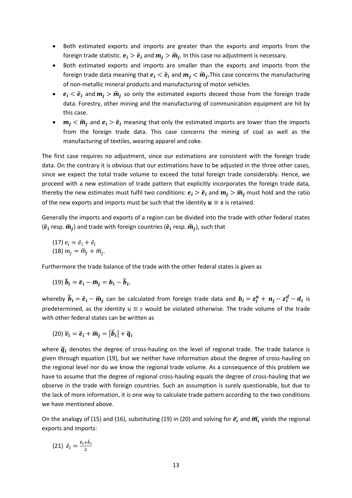- Both estimated exports and imports are greater than the exports and imports from the foreign trade statistic.  $e_i > \tilde{e}_i$  and  $m_j > \widetilde{m}_j$ . In this case no adjustment is necessary.
- Both estimated exports and imports are smaller than the exports and imports from the foreign trade data meaning that  $e_i < \tilde{e}_i$  and  $m_j < \widetilde{m}_j.$  This case concerns the manufacturing of non-metallic mineral products and manufacturing of motor vehicles.
- $e_i < \tilde{e}_i$  and  $m_j > \widetilde{m}_j$  so only the estimated exports deceed those from the foreign trade data. Forestry, other mining and the manufacturing of communication equipment are hit by this case.
- $m_j < \widetilde{m}_j$  and  $e_i > \widetilde{e}_i$  meaning that only the estimated imports are lower than the imports from the foreign trade data. This case concerns the mining of coal as well as the manufacturing of textiles, wearing apparel and coke.

The first case requires no adjustment, since our estimations are consistent with the foreign trade data. On the contrary it is obvious that our estimations have to be adjusted in the three other cases, since we expect the total trade volume to exceed the total foreign trade considerably. Hence, we proceed with a new estimation of trade pattern that explicitly incorporates the foreign trade data, thereby the new estimates must fulfil two conditions:  $e_i > \tilde{e}_i$  and  $m_i > \tilde{m}_i$  must hold and the ratio of the new exports and imports must be such that the identity  $u \equiv s$  is retained.

Generally the imports and exports of a region can be divided into the trade with other federal states ( $\boldsymbol{\breve{e}}_i$  resp.  $\boldsymbol{\breve{m}}_j$ ) and trade with foreign countries ( $\boldsymbol{\widetilde{e}}_i$  resp.  $\boldsymbol{\widetilde{m}}_j$ ), such that

<span id="page-13-4"></span><span id="page-13-3"></span>(17) 
$$
e_i = \tilde{e}_i + \tilde{e}_i
$$
  
(18)  $m_j = \tilde{m}_j + \tilde{m}_j$ .

Furthermore the trade balance of the trade with the other federal states is given as

<span id="page-13-0"></span>(19) 
$$
\check{b}_i = \check{e}_i - \check{m}_j = b_i - \widetilde{b}_i
$$
,

whereby  $\tilde{\bm{b}}_{\bm{i}}=\tilde{\bm{e}}_{\bm{i}}-\widetilde{\bm{m}}_{\bm{j}}$  can be calculated from foreign trade data and  $\bm{b}_{\bm{i}}=\bm{z}^{\bm{u}}_{\bm{j}}+\bm{n}_{\bm{j}}-\bm{z}^{\bm{d}}_{\bm{i}}-\bm{d}_{\bm{i}}$  is predetermined, as the identity  $u \equiv s$  would be violated otherwise. The trade volume of the trade with other federal states can be written as

<span id="page-13-1"></span>
$$
(20) \ \ \tilde{\boldsymbol{v}}_i = \breve{\boldsymbol{e}}_i + \breve{\boldsymbol{m}}_j = \left| \boldsymbol{\breve{b}}_i \right| + \breve{\boldsymbol{q}}_i
$$

where  $\boldsymbol{\breve{q}}_t$  denotes the degree of cross-hauling on the level of regional trade. The trade balance is given through equation [\(19\),](#page-13-0) but we neither have information about the degree of cross-hauling on the regional level nor do we know the regional trade volume. As a consequence of this problem we have to assume that the degree of regional cross-hauling equals the degree of cross-hauling that we observe in the trade with foreign countries. Such an assumption is surely questionable, but due to the lack of more information, it is one way to calculate trade pattern according to the two conditions we have mentioned above.

On the analogy o[f \(15\)](#page-12-1) and [\(16\),](#page-12-2) substituting [\(19\)](#page-13-0) in [\(20\)](#page-13-1) and solving for  $\breve e_t$  and  $\breve m_t$  yields the regional exports and imports:

<span id="page-13-2"></span>
$$
(21) \ \ \check{e}_i = \frac{\check{v}_i + \check{b}_i}{2}
$$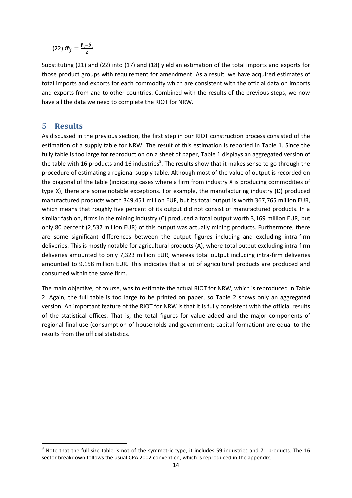<span id="page-14-0"></span>
$$
(22) \; \breve m_j = \frac{\breve v_i - \breve b_i}{2}.
$$

Substituting [\(21\)](#page-13-2) and [\(22\)](#page-14-0) into [\(17\)](#page-13-3) and [\(18\)](#page-13-4) yield an estimation of the total imports and exports for those product groups with requirement for amendment. As a result, we have acquired estimates of total imports and exports for each commodity which are consistent with the official data on imports and exports from and to other countries. Combined with the results of the previous steps, we now have all the data we need to complete the RIOT for NRW.

## **5 Results**

l

As discussed in the previous section, the first step in our RIOT construction process consisted of the estimation of a supply table for NRW. The result of this estimation is reported in [Table 1.](#page-15-0) Since the fully table is too large for reproduction on a sheet of paper, [Table 1](#page-15-0) displays an aggregated version of the table with 16 products and 16 industries<sup>9</sup>. The results show that it makes sense to go through the procedure of estimating a regional supply table. Although most of the value of output is recorded on the diagonal of the table (indicating cases where a firm from industry X is producing commodities of type X), there are some notable exceptions. For example, the manufacturing industry (D) produced manufactured products worth 349,451 million EUR, but its total output is worth 367,765 million EUR, which means that roughly five percent of its output did not consist of manufactured products. In a similar fashion, firms in the mining industry (C) produced a total output worth 3,169 million EUR, but only 80 percent (2,537 million EUR) of this output was actually mining products. Furthermore, there are some significant differences between the output figures including and excluding intra-firm deliveries. This is mostly notable for agricultural products (A), where total output excluding intra-firm deliveries amounted to only 7,323 million EUR, whereas total output including intra-firm deliveries amounted to 9,158 million EUR. This indicates that a lot of agricultural products are produced and consumed within the same firm.

The main objective, of course, was to estimate the actual RIOT for NRW, which is reproduced in [Table](#page-16-0)  [2.](#page-16-0) Again, the full table is too large to be printed on paper, so [Table 2](#page-16-0) shows only an aggregated version. An important feature of the RIOT for NRW is that it is fully consistent with the official results of the statistical offices. That is, the total figures for value added and the major components of regional final use (consumption of households and government; capital formation) are equal to the results from the official statistics.

 $9$  Note that the full-size table is not of the symmetric type, it includes 59 industries and 71 products. The 16 sector breakdown follows the usual CPA 2002 convention, which is reproduced in the appendix.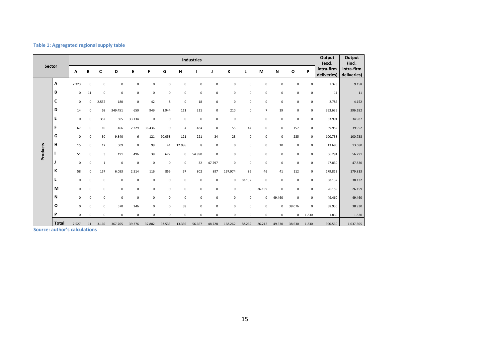#### **Table 1: Aggregated regional supply table**

|                 | <b>Sector</b>                                                       |              |             |              |             |             |             |              |             | <b>Industries</b> |             |             |             |                |             |              |             | Output<br>(excl.          | Output<br>(incl.          |
|-----------------|---------------------------------------------------------------------|--------------|-------------|--------------|-------------|-------------|-------------|--------------|-------------|-------------------|-------------|-------------|-------------|----------------|-------------|--------------|-------------|---------------------------|---------------------------|
|                 |                                                                     | Α            | B           | C            | D           | Е           | F           | G            | н           |                   | J           | К           | L           | M              | N           | $\mathbf{o}$ | P           | intra-firm<br>deliveries) | intra-firm<br>deliveries) |
|                 | Α                                                                   | 7.323        | $\mathbf 0$ | $\mathsf 0$  | $\mathsf 0$ | $\mathbf 0$ | $\mathbf 0$ | $\mathbf 0$  | $\pmb{0}$   | $\pmb{0}$         | $\pmb{0}$   | $\pmb{0}$   | $\mathbf 0$ | $\bf 0$        | $\mathsf 0$ | $\mathsf 0$  | $\Omega$    | 7.323                     | 9.158                     |
|                 | B                                                                   | $\mathbf 0$  | 11          | $\mathbf 0$  | $\mathbf 0$ | $\mathbf 0$ | $\mathbf 0$ | 0            | $\mathbf 0$ | $\pmb{0}$         | $\pmb{0}$   | $\bf 0$     | $\mathbf 0$ | 0              | $\mathbf 0$ | 0            | $\mathbf 0$ | 11                        | 11                        |
|                 | C                                                                   | $\mathbf 0$  | $\mathbf 0$ | 2.537        | 180         | $\mathbf 0$ | 42          | 8            | $\pmb{0}$   | 18                | $\mathsf 0$ | $\mathbf 0$ | $\mathbf 0$ | $\mathbf 0$    | 0           | $\mathbf 0$  | 0           | 2.785                     | 4.152                     |
|                 | D                                                                   | 14           | $\mathbf 0$ | 68           | 349.451     | 650         | 949         | 1.944        | 111         | 211               | $\mathbf 0$ | 210         | $\mathbf 0$ | $\overline{7}$ | 19          | 0            | 0           | 353.635                   | 396.182                   |
|                 | E                                                                   | 0            | $\mathbf 0$ | 352          | 505         | 33.134      | $\mathsf 0$ | 0            | $\pmb{0}$   | $\mathsf 0$       | $\mathsf 0$ | $\bf 0$     | $\mathbf 0$ | 0              | $\pmb{0}$   | $\mathsf 0$  | 0           | 33.991                    | 34.987                    |
|                 | F                                                                   | 67           | $\mathbf 0$ | 10           | 466         | 2.229       | 36.436      | 0            | 4           | 484               | $\pmb{0}$   | 55          | 44          | 0              | $\mathbf 0$ | 157          | 0           | 39.952                    | 39.952                    |
|                 | G                                                                   | $\mathbf 0$  | $\mathbf 0$ | 30           | 9.840       | 6           | 121         | 90.058       | 121         | 221               | 34          | 23          | $\mathbf 0$ | 0              | $\mathbf 0$ | 285          | $\mathbf 0$ | 100.738                   | 100.738                   |
|                 | н                                                                   | 15           | $\mathbf 0$ | 12           | 509         | $\mathbf 0$ | 99          | 41           | 12.986      | 8                 | $\pmb{0}$   | $\pmb{0}$   | $\mathbf 0$ | $\mathbf 0$    | 10          | $\mathsf 0$  | 0           | 13.680                    | 13.680                    |
| <b>Products</b> |                                                                     | 51           | $\mathbf 0$ | 3            | 191         | 496         | 38          | 622          | 0           | 54.890            | $\mathbf 0$ | $\pmb{0}$   | $\mathbf 0$ | 0              | $\mathsf 0$ | 0            | 0           | 56.291                    | 56.291                    |
|                 |                                                                     | $\mathbf 0$  | $\mathbf 0$ | $\mathbf{1}$ | $\mathsf 0$ | $\mathbf 0$ | $\mathsf 0$ | 0            | $\mathsf 0$ | 32                | 47.797      | $\pmb{0}$   | $\mathbf 0$ | $\mathbf 0$    | 0           | $\mathsf 0$  | 0           | 47.830                    | 47.830                    |
|                 | K                                                                   | 58           | $\mathbf 0$ | 157          | 6.053       | 2.514       | 116         | 859          | 97          | 802               | 897         | 167.974     | 86          | 46             | 41          | 112          | $\Omega$    | 179.813                   | 179.813                   |
|                 | L                                                                   | $\mathbf 0$  | $\mathbf 0$ | $\mathsf 0$  | $\mathsf 0$ | $\mathbf 0$ | $\mathsf 0$ | 0            | $\pmb{0}$   | $\mathsf 0$       | $\mathsf 0$ | $\mathbf 0$ | 38.132      | $\mathbf 0$    | $\mathbf 0$ | $\mathsf 0$  | 0           | 38.132                    | 38.132                    |
|                 | M                                                                   | $\mathbf 0$  | $\mathbf 0$ | 0            | 0           | 0           | $\mathbf 0$ | 0            | $\pmb{0}$   | $\pmb{0}$         | $\pmb{0}$   | $\pmb{0}$   | 0           | 26.159         | $\pmb{0}$   | 0            | 0           | 26.159                    | 26.159                    |
|                 | N                                                                   | $\mathbf 0$  | $\mathbf 0$ | $\mathbf 0$  | $\mathsf 0$ | $\mathbf 0$ | $\mathbf 0$ | $\mathbf{0}$ | $\mathbf 0$ | $\pmb{0}$         | $\pmb{0}$   | $\pmb{0}$   | $\mathbf 0$ | 0              | 49.460      | $\mathbf 0$  | 0           | 49.460                    | 49.460                    |
|                 | O                                                                   | $\mathbf 0$  | $\mathbf 0$ | $\mathbf 0$  | 570         | 246         | $\mathbf 0$ | $\mathbf 0$  | 38          | $\pmb{0}$         | $\pmb{0}$   | $\pmb{0}$   | $\mathbf 0$ | $\mathbf 0$    | 0           | 38.076       | $\mathbf 0$ | 38.930                    | 38.930                    |
|                 | P                                                                   | $\mathbf{0}$ | $\mathbf 0$ | $\mathbf 0$  | $\mathbf 0$ | $\mathbf 0$ | $\mathbf 0$ | $\mathbf{0}$ | $\mathbf 0$ | $\mathbf 0$       | $\mathbf 0$ | $\mathbf 0$ | $\mathbf 0$ | $\mathbf 0$    | $\mathbf 0$ | $\mathbf 0$  | 1.830       | 1.830                     | 1.830                     |
|                 | <b>Total</b><br>والمتلاط والمتمر المتمر والمتلوث والمتمرد والمتناوب | 7.527        | 11          | 3.169        | 367.765     | 39.276      | 37.802      | 93.533       | 13.356      | 56.667            | 48.728      | 168.262     | 38.262      | 26.212         | 49.530      | 38.630       | 1.830       | 990.560                   | 1.037.305                 |

<span id="page-15-0"></span>**Source: author's calculations**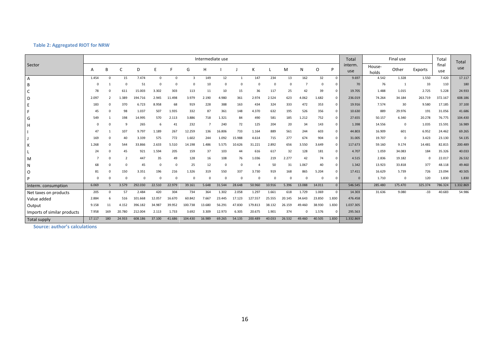#### **Table 2: Aggregated RIOT for NRW**

|                             |          |             |        |          |             |             |          |          | Intermediate use |              |          |          |          |          |          |                | Total          |                 | Final use   |          | Total        | Total     |
|-----------------------------|----------|-------------|--------|----------|-------------|-------------|----------|----------|------------------|--------------|----------|----------|----------|----------|----------|----------------|----------------|-----------------|-------------|----------|--------------|-----------|
| Sector                      | А        | B           |        | D        |             | F           | G        | H        |                  |              | К        |          | M        | N        | O        | P              | interm.<br>use | House-<br>holds | Other       | Exports  | final<br>use | use       |
| $\overline{A}$              | 1.454    | $\Omega$    | 15     | 7.474    | $\mathbf 0$ | $\mathbf 0$ | 3        | 149      | 12               | $\mathbf{1}$ | 147      | 234      | 13       | 162      | 32       | $\Omega$       | 9.697          | 4.542           | 1.328       | 1.550    | 7.420        | 17.117    |
| B                           | $\Omega$ |             |        | 51       | $\Omega$    | $\Omega$    |          | 10       | $\Omega$         | 0            | $\Omega$ | $\Omega$ | 0        |          | $\Omega$ | $^{\circ}$     | 70             | 76              | - 1         | 33       | 110          | 180       |
| C                           | 78       | $\Omega$    | 611    | 15.003   | 3.302       | 303         | 113      | 11       | 10               | 15           | 36       | 117      | 25       | 42       | 39       | $\mathbf{0}$   | 19.705         | 1.488           | 1.015       | 2.725    | 5.228        | 24.933    |
| D                           | 2.097    |             | 1.389  | 194.716  | 2.945       | 11.498      | 3.979    | 2.190    | 4.980            | 361          | 2.974    | 2.524    | 623      | 4.062    | 1.682    | $\mathbf{0}$   | 236.019        | 74.264          | 34.184      | 263.719  | 372.167      | 608.186   |
| E                           | 183      | $\Omega$    | 370    | 6.723    | 8.958       | 68          | 919      | 228      | 388              | 163          | 434      | 324      | 333      | 472      | 353      | $\mathbf{0}$   | 19.916         | 7.574           | 30          | 9.580    | 17.185       | 37.100    |
|                             | 45       |             | 98     | 1.037    | 507         | 1.935       | 332      | 87       | 361              | 148          | 4.370    | 632      | 195      | 526      | 356      | $^{\circ}$     | 10.630         | 889             | 29.976      | 191      | 31.056       | 41.686    |
| G                           | 549      |             | 198    | 14.995   | 570         | 2.113       | 3.886    | 718      | 1.321            | 84           | 490      | 581      | 185      | 1.212    | 752      | $\mathbf{0}$   | 27.655         | 50.157          | 6.340       | 20.278   | 76.775       | 104.430   |
| H                           |          |             |        | 265      | 6           | 41          | 232      |          | 240              | 72           | 125      | 204      | 20       | 34       | 143      | $\mathbf{0}$   | 1.398          | 14.556          | $\mathbf 0$ | 1.035    | 15.591       | 16.989    |
|                             | 47       |             | 107    | 9.797    | 1.189       | 267         | 12.259   | 136      | 16.806           | 733          | 1.164    | 889      | 561      | 244      | 603      | $\mathbf{0}$   | 44.803         | 16.909          | 601         | 6.952    | 24.462       | 69.265    |
|                             | 169      |             | 40     | 3.339    | 575         | 772         | 1.602    | 244      | 1.092            | 15.988       | 4.614    | 715      | 277      | 674      | 904      | $\mathbf{0}$   | 31.005         | 19.707          | $\mathbf 0$ | 3.423    | 23.130       | 54.135    |
| К                           | 1.268    | $\Omega$    | 544    | 33.866   | 2.633       | 5.510       | 14.198   | 1.486    | 5.575            | 10.626       | 31.221   | 2.892    | 656      | 3.550    | 3.649    | $\mathbf 0$    | 117.673        | 59.160          | 9.174       | 14.481   | 82.815       | 200.489   |
|                             | 24       |             | 45     | 921      | 1.594       | 205         | 159      | 37       | 103              | 44           | 616      | 617      | 32       | 128      | 181      | $\mathbf{0}$   | 4.707          | 1.059           | 34.083      | 184      | 35.326       | 40.033    |
| M                           |          | $\Omega$    | 2      | 447      | 35          | 49          | 128      | 16       | 108              | 76           | 1.036    | 219      | 2.277    | 42       | 74       | $\mathbf{0}$   | 4.515          | 2.836           | 19.182      | $\Omega$ | 22.017       | 26.532    |
| N                           | 68       |             |        | 45       | $\Omega$    | $\Omega$    | 25       | 12       | $\Omega$         | $\Omega$     |          | 50       | 31       | 1.067    | 40       | $^{\circ}$     | 1.342          | 13.923          | 33.818      | 377      | 48.118       | 49.460    |
| $\circ$                     | 81       |             | 150    | 3.351    | 196         | 216         | 1.326    | 319      | 550              | 337          | 3.730    | 919      | 168      | 865      | 5.204    | $\mathbf 0$    | 17.411         | 16.629          | 5.739       | 726      | 23.094       | 40.505    |
| P                           | $\Omega$ |             |        | $\Omega$ | $\Omega$    | $\Omega$    | $\Omega$ | $\Omega$ | $\Omega$         | $\Omega$     | $\Omega$ | $\Omega$ | $\Omega$ | $\Omega$ | $\Omega$ | $^{\circ}$     | $\Omega$       | 1.710           | 0           | 120      | 1.830        | 1.830     |
| Interm. consumption         | 6.069    | 5           | 3.579  | 292.030  | 22.510      | 22.979      | 39.161   | 5.648    | 31.544           | 28.648       | 50.960   | 10.916   | 5.396    | 13.088   | 14.011   | $\overline{0}$ | 546.545        | 285.480         | 175.470     | 325.374  | 786.324      | 1.332.869 |
| Net taxes on products       | 205      | $\mathbf 0$ | 57     | 2.484    | 420         | 304         | 734      | 364      | 1.302            | 2.058        | 1.297    | 1.661    | 618      | 1.729    | 1.069    | $\mathbf{0}$   | 14.303         | 31.636          | 9.080       | $-33$    | 40.683       | 54.986    |
| Value added                 | 2.884    | 6           | 516    | 101.668  | 12.057      | 16.670      | 60.842   | 7.667    | 23.445           | 17.123       | 127.557  | 25.555   | 20.145   | 34.643   | 23.850   | 1.830          | 476.458        |                 |             |          |              |           |
| Output                      | 9.158    | 11          | 4.152  | 396.182  | 34.987      | 39.952      | 100.738  | 13.680   | 56.291           | 47.830       | 179.813  | 38.132   | 26.159   | 49.460   | 38.930   | 1.830          | 1.037.305      |                 |             |          |              |           |
| Imports of similar products | 7.958    | 169         | 20.780 | 212.004  | 2.113       | 1.733       | 3.692    | 3.309    | 12.973           | 6.305        | 20.675   | 1.901    | 374      | $\Omega$ | 1.576    | $\Omega$       | 295.563        |                 |             |          |              |           |
| Total supply                | 17.117   | 180         | 24.933 | 608.186  | 37.100      | 41.686      | 104.430  | 16.989   | 69.265           | 54.135       | 200.489  | 40.033   | 26.532   | 49.460   | 40.505   | 1.830          | 1.332.869      |                 |             |          |              |           |

<span id="page-16-0"></span>**Source: author's calculations**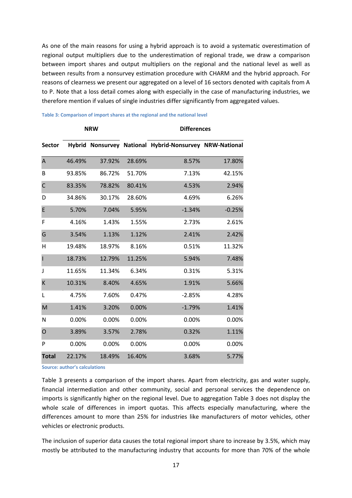As one of the main reasons for using a hybrid approach is to avoid a systematic overestimation of regional output multipliers due to the underestimation of regional trade, we draw a comparison between import shares and output multipliers on the regional and the national level as well as between results from a nonsurvey estimation procedure with CHARM and the hybrid approach. For reasons of clearness we present our aggregated on a level of 16 sectors denoted with capitals from A to P. Note that a loss detail comes along with especially in the case of manufacturing industries, we therefore mention if values of single industries differ significantly from aggregated values.

|                         |        | <b>NRW</b> |        | <b>Differences</b>                                      |          |  |  |  |  |  |
|-------------------------|--------|------------|--------|---------------------------------------------------------|----------|--|--|--|--|--|
| <b>Sector</b>           |        |            |        | Hybrid Nonsurvey National Hybrid-Nonsurvey NRW-National |          |  |  |  |  |  |
| $\overline{\mathsf{A}}$ | 46.49% | 37.92%     | 28.69% | 8.57%                                                   | 17.80%   |  |  |  |  |  |
| B                       | 93.85% | 86.72%     | 51.70% | 7.13%                                                   | 42.15%   |  |  |  |  |  |
| $\mathsf C$             | 83.35% | 78.82%     | 80.41% | 4.53%                                                   | 2.94%    |  |  |  |  |  |
| D                       | 34.86% | 30.17%     | 28.60% | 4.69%                                                   | 6.26%    |  |  |  |  |  |
| E                       | 5.70%  | 7.04%      | 5.95%  | $-1.34%$                                                | $-0.25%$ |  |  |  |  |  |
| F                       | 4.16%  | 1.43%      | 1.55%  | 2.73%                                                   | 2.61%    |  |  |  |  |  |
| G                       | 3.54%  | 1.13%      | 1.12%  | 2.41%                                                   | 2.42%    |  |  |  |  |  |
| $\mathsf{H}$            | 19.48% | 18.97%     | 8.16%  | 0.51%                                                   | 11.32%   |  |  |  |  |  |
| $\mathbf{I}$            | 18.73% | 12.79%     | 11.25% | 5.94%                                                   | 7.48%    |  |  |  |  |  |
| J                       | 11.65% | 11.34%     | 6.34%  | 0.31%                                                   | 5.31%    |  |  |  |  |  |
| K                       | 10.31% | 8.40%      | 4.65%  | 1.91%                                                   | 5.66%    |  |  |  |  |  |
| L                       | 4.75%  | 7.60%      | 0.47%  | $-2.85%$                                                | 4.28%    |  |  |  |  |  |
| M                       | 1.41%  | 3.20%      | 0.00%  | $-1.79%$                                                | 1.41%    |  |  |  |  |  |
| N                       | 0.00%  | 0.00%      | 0.00%  | 0.00%                                                   | 0.00%    |  |  |  |  |  |
| $\overline{O}$          | 3.89%  | 3.57%      | 2.78%  | 0.32%                                                   | 1.11%    |  |  |  |  |  |
| P                       | 0.00%  | 0.00%      | 0.00%  | 0.00%                                                   | 0.00%    |  |  |  |  |  |
| <b>Total</b>            | 22.17% | 18.49%     | 16.40% | 3.68%                                                   | 5.77%    |  |  |  |  |  |

#### <span id="page-17-0"></span>**Table 3: Comparison of import shares at the regional and the national level**

**Source: author's calculations**

[Table 3](#page-17-0) presents a comparison of the import shares. Apart from electricity, gas and water supply, financial intermediation and other community, social and personal services the dependence on imports is significantly higher on the regional level. Due to aggregation [Table 3](#page-17-0) does not display the whole scale of differences in import quotas. This affects especially manufacturing, where the differences amount to more than 25% for industries like manufacturers of motor vehicles, other vehicles or electronic products.

The inclusion of superior data causes the total regional import share to increase by 3.5%, which may mostly be attributed to the manufacturing industry that accounts for more than 70% of the whole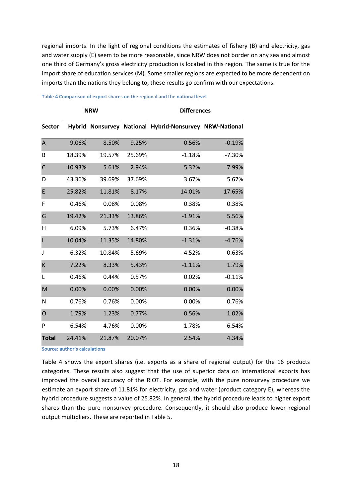regional imports. In the light of regional conditions the estimates of fishery (B) and electricity, gas and water supply (E) seem to be more reasonable, since NRW does not border on any sea and almost one third of Germany's gross electricity production is located in this region. The same is true for the import share of education services (M). Some smaller regions are expected to be more dependent on imports than the nations they belong to, these results go confirm with our expectations.

|                |        | <b>NRW</b> |        | <b>Differences</b>                                      |          |  |  |  |  |
|----------------|--------|------------|--------|---------------------------------------------------------|----------|--|--|--|--|
| <b>Sector</b>  |        |            |        | Hybrid Nonsurvey National Hybrid-Nonsurvey NRW-National |          |  |  |  |  |
| A              | 9.06%  | 8.50%      | 9.25%  | 0.56%                                                   | $-0.19%$ |  |  |  |  |
| B              | 18.39% | 19.57%     | 25.69% | $-1.18%$                                                | $-7.30%$ |  |  |  |  |
| $\mathsf{C}$   | 10.93% | 5.61%      | 2.94%  | 5.32%                                                   | 7.99%    |  |  |  |  |
| D              | 43.36% | 39.69%     | 37.69% | 3.67%                                                   | 5.67%    |  |  |  |  |
| E              | 25.82% | 11.81%     | 8.17%  | 14.01%                                                  | 17.65%   |  |  |  |  |
| F              | 0.46%  | 0.08%      | 0.08%  | 0.38%                                                   | 0.38%    |  |  |  |  |
| G              | 19.42% | 21.33%     | 13.86% | $-1.91%$                                                | 5.56%    |  |  |  |  |
| н              | 6.09%  | 5.73%      | 6.47%  | 0.36%                                                   | $-0.38%$ |  |  |  |  |
| I              | 10.04% | 11.35%     | 14.80% | $-1.31%$                                                | $-4.76%$ |  |  |  |  |
| J              | 6.32%  | 10.84%     | 5.69%  | $-4.52%$                                                | 0.63%    |  |  |  |  |
| K              | 7.22%  | 8.33%      | 5.43%  | $-1.11%$                                                | 1.79%    |  |  |  |  |
| L              | 0.46%  | 0.44%      | 0.57%  | 0.02%                                                   | $-0.11%$ |  |  |  |  |
| M              | 0.00%  | 0.00%      | 0.00%  | 0.00%                                                   | 0.00%    |  |  |  |  |
| N              | 0.76%  | 0.76%      | 0.00%  | 0.00%                                                   | 0.76%    |  |  |  |  |
| $\overline{O}$ | 1.79%  | 1.23%      | 0.77%  | 0.56%                                                   | 1.02%    |  |  |  |  |
| P              | 6.54%  | 4.76%      | 0.00%  | 1.78%                                                   | 6.54%    |  |  |  |  |
| <b>Total</b>   | 24.41% | 21.87%     | 20.07% | 2.54%                                                   | 4.34%    |  |  |  |  |

#### <span id="page-18-0"></span>**Table 4 Comparison of export shares on the regional and the national level**

**Source: author's calculations**

[Table 4](#page-18-0) shows the export shares (i.e. exports as a share of regional output) for the 16 products categories. These results also suggest that the use of superior data on international exports has improved the overall accuracy of the RIOT. For example, with the pure nonsurvey procedure we estimate an export share of 11.81% for electricity, gas and water (product category E), whereas the hybrid procedure suggests a value of 25.82%. In general, the hybrid procedure leads to higher export shares than the pure nonsurvey procedure. Consequently, it should also produce lower regional output multipliers. These are reported in [Table 5.](#page-19-0)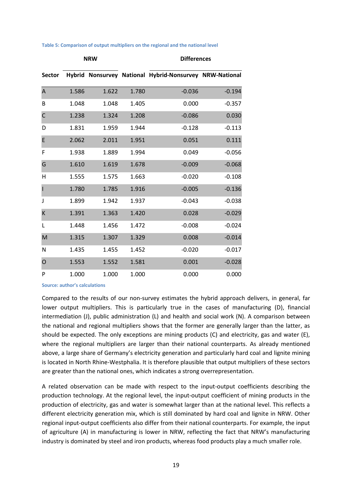<span id="page-19-0"></span>

| Table 5: Comparison of output multipliers on the regional and the national level |  |  |  |  |
|----------------------------------------------------------------------------------|--|--|--|--|
|                                                                                  |  |  |  |  |

|                |       | <b>NRW</b> |       | <b>Differences</b>                                      |          |  |  |  |  |  |
|----------------|-------|------------|-------|---------------------------------------------------------|----------|--|--|--|--|--|
| <b>Sector</b>  |       |            |       | Hybrid Nonsurvey National Hybrid-Nonsurvey NRW-National |          |  |  |  |  |  |
| A              | 1.586 | 1.622      | 1.780 | $-0.036$                                                | $-0.194$ |  |  |  |  |  |
| В              | 1.048 | 1.048      | 1.405 | 0.000                                                   | $-0.357$ |  |  |  |  |  |
| $\mathsf{C}$   | 1.238 | 1.324      | 1.208 | $-0.086$                                                | 0.030    |  |  |  |  |  |
| D              | 1.831 | 1.959      | 1.944 | $-0.128$                                                | $-0.113$ |  |  |  |  |  |
| E              | 2.062 | 2.011      | 1.951 | 0.051                                                   | 0.111    |  |  |  |  |  |
| F              | 1.938 | 1.889      | 1.994 | 0.049                                                   | $-0.056$ |  |  |  |  |  |
| G              | 1.610 | 1.619      | 1.678 | $-0.009$                                                | $-0.068$ |  |  |  |  |  |
| Η              | 1.555 | 1.575      | 1.663 | $-0.020$                                                | $-0.108$ |  |  |  |  |  |
| I              | 1.780 | 1.785      | 1.916 | $-0.005$                                                | $-0.136$ |  |  |  |  |  |
| J              | 1.899 | 1.942      | 1.937 | $-0.043$                                                | $-0.038$ |  |  |  |  |  |
| K              | 1.391 | 1.363      | 1.420 | 0.028                                                   | $-0.029$ |  |  |  |  |  |
| L              | 1.448 | 1.456      | 1.472 | $-0.008$                                                | $-0.024$ |  |  |  |  |  |
| M              | 1.315 | 1.307      | 1.329 | 0.008                                                   | $-0.014$ |  |  |  |  |  |
| N              | 1.435 | 1.455      | 1.452 | $-0.020$                                                | $-0.017$ |  |  |  |  |  |
| $\overline{O}$ | 1.553 | 1.552      | 1.581 | 0.001                                                   | $-0.028$ |  |  |  |  |  |
| P              | 1.000 | 1.000      | 1.000 | 0.000                                                   | 0.000    |  |  |  |  |  |

**Source: author's calculations** 

Compared to the results of our non-survey estimates the hybrid approach delivers, in general, far lower output multipliers. This is particularly true in the cases of manufacturing (D), financial intermediation (J), public administration (L) and health and social work (N). A comparison between the national and regional multipliers shows that the former are generally larger than the latter, as should be expected. The only exceptions are mining products (C) and electricity, gas and water (E), where the regional multipliers are larger than their national counterparts. As already mentioned above, a large share of Germany's electricity generation and particularly hard coal and lignite mining is located in North Rhine-Westphalia. It is therefore plausible that output multipliers of these sectors are greater than the national ones, which indicates a strong overrepresentation.

A related observation can be made with respect to the input-output coefficients describing the production technology. At the regional level, the input-output coefficient of mining products in the production of electricity, gas and water is somewhat larger than at the national level. This reflects a different electricity generation mix, which is still dominated by hard coal and lignite in NRW. Other regional input-output coefficients also differ from their national counterparts. For example, the input of agriculture (A) in manufacturing is lower in NRW, reflecting the fact that NRW's manufacturing industry is dominated by steel and iron products, whereas food products play a much smaller role.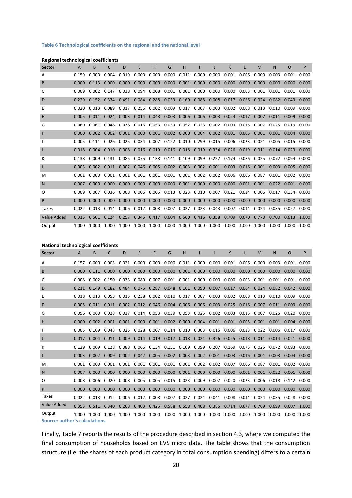#### **Table 6 Technological coefficients on the regional and the national level**

#### **Regional technological coefficients**

| <b>Sector</b> | A     | B     | C     | D     | E     | F     | G     | н     |       |       | Κ     |       | M     | N     | O     | P     |
|---------------|-------|-------|-------|-------|-------|-------|-------|-------|-------|-------|-------|-------|-------|-------|-------|-------|
| A             | 0.159 | 0.000 | 0.004 | 0.019 | 0.000 | 0.000 | 0.000 | 0.011 | 0.000 | 0.000 | 0.001 | 0.006 | 0.000 | 0.003 | 0.001 | 0.000 |
| B             | 0.000 | 0.113 | 0.000 | 0.000 | 0.000 | 0.000 | 0.000 | 0.001 | 0.000 | 0.000 | 0.000 | 0.000 | 0.000 | 0.000 | 0.000 | 0.000 |
| C             | 0.009 | 0.002 | 0.147 | 0.038 | 0.094 | 0.008 | 0.001 | 0.001 | 0.000 | 0.000 | 0.000 | 0.003 | 0.001 | 0.001 | 0.001 | 0.000 |
| D             | 0.229 | 0.152 | 0.334 | 0.491 | 0.084 | 0.288 | 0.039 | 0.160 | 0.088 | 0.008 | 0.017 | 0.066 | 0.024 | 0.082 | 0.043 | 0.000 |
| Ε             | 0.020 | 0.013 | 0.089 | 0.017 | 0.256 | 0.002 | 0.009 | 0.017 | 0.007 | 0.003 | 0.002 | 0.008 | 0.013 | 0.010 | 0.009 | 0.000 |
| F             | 0.005 | 0.011 | 0.024 | 0.003 | 0.014 | 0.048 | 0.003 | 0.006 | 0.006 | 0.003 | 0.024 | 0.017 | 0.007 | 0.011 | 0.009 | 0.000 |
| G             | 0.060 | 0.061 | 0.048 | 0.038 | 0.016 | 0.053 | 0.039 | 0.052 | 0.023 | 0.002 | 0.003 | 0.015 | 0.007 | 0.025 | 0.019 | 0.000 |
| н             | 0.000 | 0.002 | 0.002 | 0.001 | 0.000 | 0.001 | 0.002 | 0.000 | 0.004 | 0.002 | 0.001 | 0.005 | 0.001 | 0.001 | 0.004 | 0.000 |
| $\mathbf{I}$  | 0.005 | 0.111 | 0.026 | 0.025 | 0.034 | 0.007 | 0.122 | 0.010 | 0.299 | 0.015 | 0.006 | 0.023 | 0.021 | 0.005 | 0.015 | 0.000 |
| $\mathsf{J}$  | 0.018 | 0.004 | 0.010 | 0.008 | 0.016 | 0.019 | 0.016 | 0.018 | 0.019 | 0.334 | 0.026 | 0.019 | 0.011 | 0.014 | 0.023 | 0.000 |
| к             | 0.138 | 0.009 | 0.131 | 0.085 | 0.075 | 0.138 | 0.141 | 0.109 | 0.099 | 0.222 | 0.174 | 0.076 | 0.025 | 0.072 | 0.094 | 0.000 |
| L             | 0.003 | 0.002 | 0.011 | 0.002 | 0.046 | 0.005 | 0.002 | 0.003 | 0.002 | 0.001 | 0.003 | 0.016 | 0.001 | 0.003 | 0.005 | 0.000 |
| M             | 0.001 | 0.000 | 0.001 | 0.001 | 0.001 | 0.001 | 0.001 | 0.001 | 0.002 | 0.002 | 0.006 | 0.006 | 0.087 | 0.001 | 0.002 | 0.000 |
| N             | 0.007 | 0.000 | 0.000 | 0.000 | 0.000 | 0.000 | 0.000 | 0.001 | 0.000 | 0.000 | 0.000 | 0.001 | 0.001 | 0.022 | 0.001 | 0.000 |
| 0             | 0.009 | 0.007 | 0.036 | 0.008 | 0.006 | 0.005 | 0.013 | 0.023 | 0.010 | 0.007 | 0.021 | 0.024 | 0.006 | 0.017 | 0.134 | 0.000 |
| P             | 0.000 | 0.000 | 0.000 | 0.000 | 0.000 | 0.000 | 0.000 | 0.000 | 0.000 | 0.000 | 0.000 | 0.000 | 0.000 | 0.000 | 0.000 | 0.000 |
| Taxes         | 0.022 | 0.013 | 0.014 | 0.006 | 0.012 | 0.008 | 0.007 | 0.027 | 0.023 | 0.043 | 0.007 | 0.044 | 0.024 | 0.035 | 0.027 | 0.000 |
| Value Added   | 0.315 | 0.501 | 0.124 | 0.257 | 0.345 | 0.417 | 0.604 | 0.560 | 0.416 | 0.358 | 0.709 | 0.670 | 0.770 | 0.700 | 0.613 | 1.000 |
| Output        | 1.000 | 1.000 | 1.000 | 1.000 | 1.000 | 1.000 | 1.000 | 1.000 | 1.000 | 1.000 | 1.000 | 1.000 | 1.000 | 1.000 | 1.000 | 1.000 |

#### **National technological coefficients**

| <b>Sector</b>                 | A     | B     | C     | D     | E     | F               | G     | н     |               |       | K     |             | M     | N     | O     | P     |
|-------------------------------|-------|-------|-------|-------|-------|-----------------|-------|-------|---------------|-------|-------|-------------|-------|-------|-------|-------|
| А                             | 0.157 | 0.000 | 0.003 | 0.021 | 0.000 | 0.000           | 0.000 | 0.011 | 0.000         | 0.000 | 0.001 | 0.006       | 0.000 | 0.003 | 0.001 | 0.000 |
| B                             | 0.000 | 0.111 | 0.000 | 0.000 | 0.000 | 0.000           | 0.000 | 0.001 | 0.000         | 0.000 | 0.000 | 0.000       | 0.000 | 0.000 | 0.000 | 0.000 |
| c                             | 0.008 | 0.002 | 0.150 | 0.033 | 0.089 | 0.007           | 0.001 | 0.001 | 0.000         | 0.000 | 0.000 | 0.003       | 0.001 | 0.001 | 0.001 | 0.000 |
| D                             | 0.211 | 0.149 | 0.182 | 0.484 | 0.075 | 0.287           | 0.048 | 0.161 | 0.090         | 0.007 | 0.017 | 0.064       | 0.024 | 0.082 | 0.042 | 0.000 |
| E                             | 0.018 | 0.013 | 0.055 | 0.015 | 0.238 | 0.002           | 0.010 | 0.017 | 0.007         | 0.003 | 0.002 | 0.008       | 0.013 | 0.010 | 0.009 | 0.000 |
| F                             | 0.005 | 0.011 | 0.011 | 0.002 |       | 0.012 0.046     | 0.004 | 0.006 | 0.006         | 0.003 | 0.025 | 0.016       | 0.007 | 0.011 | 0.009 | 0.000 |
| G                             | 0.056 | 0.060 | 0.028 | 0.037 |       | 0.014 0.053     | 0.039 | 0.053 | 0.025         | 0.002 | 0.003 | 0.015       | 0.007 | 0.025 | 0.020 | 0.000 |
| н                             | 0.000 | 0.002 | 0.001 | 0.001 | 0.000 | 0.001           | 0.002 | 0.000 | 0.004         | 0.001 | 0.001 | 0.005       | 0.001 | 0.001 | 0.004 | 0.000 |
|                               | 0.005 | 0.109 | 0.048 | 0.025 | 0.028 | 0.007           | 0.114 | 0.010 | 0.303         | 0.015 | 0.006 | 0.023       | 0.022 | 0.005 | 0.017 | 0.000 |
| J                             | 0.017 | 0.004 | 0.011 | 0.009 |       | 0.014 0.019     | 0.017 | 0.018 | $0.021$ 0.326 |       | 0.025 | 0.018       | 0.011 | 0.014 | 0.021 | 0.000 |
| к                             | 0.129 | 0.009 | 0.128 | 0.088 | 0.066 | 0.134           | 0.151 | 0.109 | 0.099         | 0.207 | 0.169 | 0.075       | 0.025 | 0.072 | 0.093 | 0.000 |
| L                             | 0.003 | 0.002 | 0.009 | 0.002 | 0.042 | 0.005           | 0.002 | 0.003 | 0.002         | 0.001 | 0.003 | 0.016       | 0.001 | 0.003 | 0.004 | 0.000 |
| м                             | 0.001 | 0.000 | 0.001 | 0.001 | 0.001 | 0.001           | 0.001 | 0.001 | 0.002         | 0.002 | 0.007 | 0.006       | 0.087 | 0.001 | 0.002 | 0.000 |
| N                             | 0.007 | 0.000 | 0.000 | 0.000 | 0.000 | 0.000           | 0.000 | 0.001 | 0.000         | 0.000 | 0.000 | 0.001       | 0.001 | 0.022 | 0.001 | 0.000 |
| O                             | 0.008 | 0.006 | 0.020 | 0.008 | 0.005 | 0.005           | 0.015 | 0.023 | 0.009         | 0.007 | 0.020 | 0.023       | 0.006 | 0.018 | 0.142 | 0.000 |
| P                             | 0.000 | 0.000 | 0.000 | 0.000 | 0.000 | 0.000           | 0.000 | 0.000 | 0.000         | 0.000 | 0.000 | 0.000       | 0.000 | 0.000 | 0.000 | 0.000 |
| <b>Taxes</b>                  | 0.022 | 0.013 | 0.012 | 0.006 | 0.012 | 0.008           | 0.007 | 0.027 | 0.024         | 0.041 | 0.008 | 0.044       | 0.024 | 0.035 | 0.028 | 0.000 |
| <b>Value Added</b>            | 0.353 | 0.511 | 0.340 | 0.268 |       | $0.403$ $0.425$ | 0.588 | 0.558 | 0.408         | 0.385 |       | 0.714 0.677 | 0.769 | 0.699 | 0.607 | 1.000 |
| Output                        | 1.000 | 1.000 | 1.000 | 1.000 | 1.000 | 1.000           | 1.000 | 1.000 | 1.000         | 1.000 | 1.000 | 1.000       | 1.000 | 1.000 | 1.000 | 1.000 |
| Source: author's calculations |       |       |       |       |       |                 |       |       |               |       |       |             |       |       |       |       |

Finally, [Table 7](#page-21-0) reports the results of the procedure described in section [4.3,](#page-9-0) where we computed the final consumption of households based on EVS micro data. The table shows that the consumption structure (i.e. the shares of each product category in total consumption spending) differs to a certain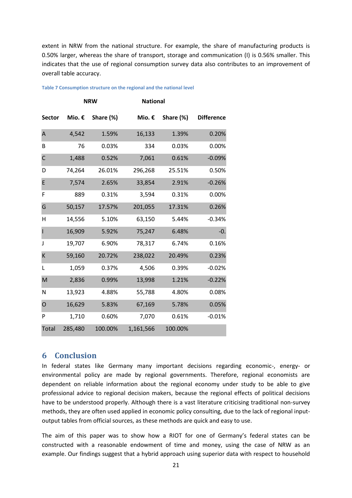extent in NRW from the national structure. For example, the share of manufacturing products is 0.50% larger, whereas the share of transport, storage and communication (I) is 0.56% smaller. This indicates that the use of regional consumption survey data also contributes to an improvement of overall table accuracy.

|               |         | <b>NRW</b> | <b>National</b> |           |                   |
|---------------|---------|------------|-----------------|-----------|-------------------|
| <b>Sector</b> | Mio. €  | Share (%)  | Mio. €          | Share (%) | <b>Difference</b> |
| A             | 4,542   | 1.59%      | 16,133          | 1.39%     | 0.20%             |
| B             | 76      | 0.03%      | 334             | 0.03%     | 0.00%             |
| $\mathsf{C}$  | 1,488   | 0.52%      | 7,061           | 0.61%     | $-0.09%$          |
| D             | 74,264  | 26.01%     | 296,268         | 25.51%    | 0.50%             |
| E             | 7,574   | 2.65%      | 33,854          | 2.91%     | $-0.26%$          |
| F             | 889     | 0.31%      | 3,594           | 0.31%     | 0.00%             |
| G             | 50,157  | 17.57%     | 201,055         | 17.31%    | 0.26%             |
| Η             | 14,556  | 5.10%      | 63,150          | 5.44%     | $-0.34%$          |
| ı             | 16,909  | 5.92%      | 75,247          | 6.48%     | $-0.$             |
| J             | 19,707  | 6.90%      | 78,317          | 6.74%     | 0.16%             |
| K             | 59,160  | 20.72%     | 238,022         | 20.49%    | 0.23%             |
| L             | 1,059   | 0.37%      | 4,506           | 0.39%     | $-0.02%$          |
| M             | 2,836   | 0.99%      | 13,998          | 1.21%     | $-0.22%$          |
| N             | 13,923  | 4.88%      | 55,788          | 4.80%     | 0.08%             |
| O             | 16,629  | 5.83%      | 67,169          | 5.78%     | 0.05%             |
| P             | 1,710   | 0.60%      | 7,070           | 0.61%     | $-0.01%$          |
| <b>Total</b>  | 285,480 | 100.00%    | 1,161,566       | 100.00%   |                   |

<span id="page-21-0"></span>**Table 7 Consumption structure on the regional and the national level** 

## **6 Conclusion**

In federal states like Germany many important decisions regarding economic-, energy- or environmental policy are made by regional governments. Therefore, regional economists are dependent on reliable information about the regional economy under study to be able to give professional advice to regional decision makers, because the regional effects of political decisions have to be understood properly. Although there is a vast literature criticising traditional non-survey methods, they are often used applied in economic policy consulting, due to the lack of regional inputoutput tables from official sources, as these methods are quick and easy to use.

The aim of this paper was to show how a RIOT for one of Germany's federal states can be constructed with a reasonable endowment of time and money, using the case of NRW as an example. Our findings suggest that a hybrid approach using superior data with respect to household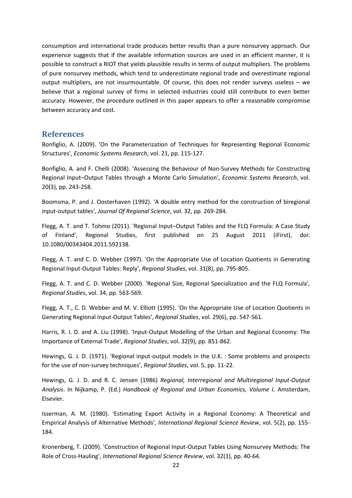consumption and international trade produces better results than a pure nonsurvey approach. Our experience suggests that if the available information sources are used in an efficient manner, it is possible to construct a RIOT that yields plausible results in terms of output multipliers. The problems of pure nonsurvey methods, which tend to underestimate regional trade and overestimate regional output multipliers, are not insurmountable. Of course, this does not render surveys useless – we believe that a regional survey of firms in selected industries could still contribute to even better accuracy. However, the procedure outlined in this paper appears to offer a reasonable compromise between accuracy and cost.

## **References**

<span id="page-22-0"></span>Bonfiglio, A. (2009). 'On the Parameterization of Techniques for Representing Regional Economic Structures', *Economic Systems Research*, vol. 21, pp. 115-127.

<span id="page-22-1"></span>Bonfiglio, A. and F. Chelli (2008). 'Assessing the Behaviour of Non-Survey Methods for Constructing Regional Input–Output Tables through a Monte Carlo Simulation', *Economic Systems Research*, vol. 20(3), pp. 243-258.

<span id="page-22-4"></span>Boomsma, P. and J. Oosterhaven (1992). 'A double entry method for the construction of biregional input-output tables', *Journal Of Regional Science*, vol. 32, pp. 269-284.

<span id="page-22-2"></span>Flegg, A. T. and T. Tohmo (2011). 'Regional Input–Output Tables and the FLQ Formula: A Case Study of Finland', Regional Studies, first published on 25 August 2011 (iFirst), doi: 10.1080/00343404.2011.592138.

<span id="page-22-5"></span>Flegg, A. T. and C. D. Webber (1997). 'On the Appropriate Use of Location Quotients in Generating Regional Input-Output Tables: Reply', *Regional Studies*, vol. 31(8), pp. 795-805.

<span id="page-22-6"></span>Flegg, A. T. and C. D. Webber (2000). 'Regional Size, Regional Specialization and the FLQ Formula', *Regional Studies*, vol. 34, pp. 563-569.

<span id="page-22-7"></span>Flegg, A. T., C. D. Webber and M. V. Elliott (1995). 'On the Appropriate Use of Location Quotients in Generating Regional Input-Output Tables', *Regional Studies*, vol. 29(6), pp. 547-561.

<span id="page-22-10"></span>Harris, R. I. D. and A. Liu (1998). 'Input-Output Modelling of the Urban and Regional Economy: The Importance of External Trade', *Regional Studies*, vol. 32(9), pp. 851-862.

<span id="page-22-8"></span>Hewings, G. J. D. (1971). 'Regional input-output models in the U.K. : Some problems and prospects for the use of non-survey techniques', *Regional Studies*, vol. 5, pp. 11-22.

<span id="page-22-9"></span>Hewings, G. J. D. and R. C. Jensen (1986) *Regional, Interregional and Multiregional Input-Output Analysis*. In Nijkamp, P. (Ed.) *Handbook of Regional and Urban Economics, Volume I.* Amsterdam, Elsevier.

<span id="page-22-11"></span>Isserman, A. M. (1980). 'Estimating Export Activity in a Regional Economy: A Theoretical and Empirical Analysis of Alternative Methods', *International Regional Science Review*, vol. 5(2), pp. 155- 184.

<span id="page-22-3"></span>Kronenberg, T. (2009). 'Construction of Regional Input-Output Tables Using Nonsurvey Methods: The Role of Cross-Hauling', *International Regional Science Review*, vol. 32(1), pp. 40-64.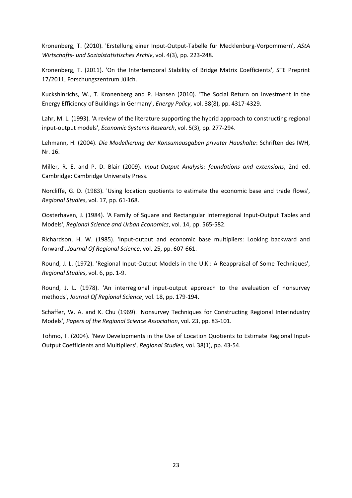<span id="page-23-10"></span>Kronenberg, T. (2010). 'Erstellung einer Input-Output-Tabelle für Mecklenburg-Vorpommern', *AStA Wirtschafts- und Sozialstatistisches Archiv*, vol. 4(3), pp. 223-248.

<span id="page-23-8"></span>Kronenberg, T. (2011). 'On the Intertemporal Stability of Bridge Matrix Coefficients', STE Preprint 17/2011, Forschungszentrum Jülich.

<span id="page-23-2"></span>Kuckshinrichs, W., T. Kronenberg and P. Hansen (2010). 'The Social Return on Investment in the Energy Efficiency of Buildings in Germany', *Energy Policy*, vol. 38(8), pp. 4317-4329.

<span id="page-23-1"></span>Lahr, M. L. (1993). 'A review of the literature supporting the hybrid approach to constructing regional input-output models', *Economic Systems Research*, vol. 5(3), pp. 277-294.

<span id="page-23-3"></span>Lehmann, H. (2004). *Die Modellierung der Konsumausgaben privater Haushalte*: Schriften des IWH, Nr. 16.

<span id="page-23-12"></span>Miller, R. E. and P. D. Blair (2009). *Input-Output Analysis: foundations and extensions*, 2nd ed. Cambridge: Cambridge University Press.

<span id="page-23-11"></span>Norcliffe, G. D. (1983). 'Using location quotients to estimate the economic base and trade flows', *Regional Studies*, vol. 17, pp. 61-168.

<span id="page-23-4"></span>Oosterhaven, J. (1984). 'A Family of Square and Rectangular Interregional Input-Output Tables and Models', *Regional Science and Urban Economics*, vol. 14, pp. 565-582.

<span id="page-23-5"></span>Richardson, H. W. (1985). 'Input-output and economic base multipliers: Looking backward and forward', *Journal Of Regional Science*, vol. 25, pp. 607-661.

<span id="page-23-6"></span>Round, J. L. (1972). 'Regional Input-Output Models in the U.K.: A Reappraisal of Some Techniques', *Regional Studies*, vol. 6, pp. 1-9.

<span id="page-23-7"></span>Round, J. L. (1978). 'An interregional input-output approach to the evaluation of nonsurvey methods', *Journal Of Regional Science*, vol. 18, pp. 179-194.

<span id="page-23-9"></span>Schaffer, W. A. and K. Chu (1969). 'Nonsurvey Techniques for Constructing Regional Interindustry Models', *Papers of the Regional Science Association*, vol. 23, pp. 83-101.

<span id="page-23-0"></span>Tohmo, T. (2004). 'New Developments in the Use of Location Quotients to Estimate Regional Input-Output Coefficients and Multipliers', *Regional Studies*, vol. 38(1), pp. 43-54.